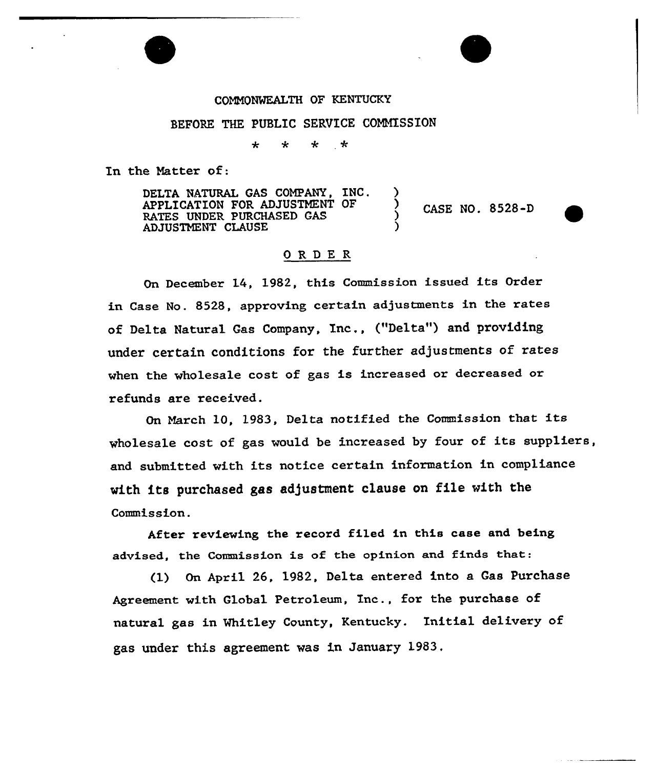## COMMONWEALTH OF KENTUCKY

#### BEFORE THE PUBLIC SERVICE COMMISSION

 $\star$  $\star$  $\ddot{\phantom{0}}$  $\div$ 

In the Natter of:

DELTA NATURAL GAS COMPANY, INC. APPLICATION FOR ADJUSTMENT OF RATES UNDER PURCHASED GAS ADJUSTMENT CLAUSE ) CASE NO. 8528-D

### ORDE <sup>R</sup>

On December 14, 1982, this Commission issued its Order in Case No. 8528, approving certain adjustments in the rates of Delta Natural Gas Company, Inc., ("Delta") and providing under certain conditions for the further adjustments of rates when the wholesale cost of gas is increased or decreased or refunds are received.

On March 10, 1983, Delta notified the Commission that its wholesale cost of gas would be increased by four of its suppliers, and submitted with its notice certain information in compliance with its purchased gas adjustment clause on file with the Commission.

After reviewing the record filed in this case and being advised, the Commission is of the opinion and finds that:

(1) On April 26, 1982, Delta entered into a Gas Purchase Agreement with Global Petroleum, Inc., for the purchase of natural gas in Whitley County, Kentucky. Initial delivery of gas under this agreement was in January 1983,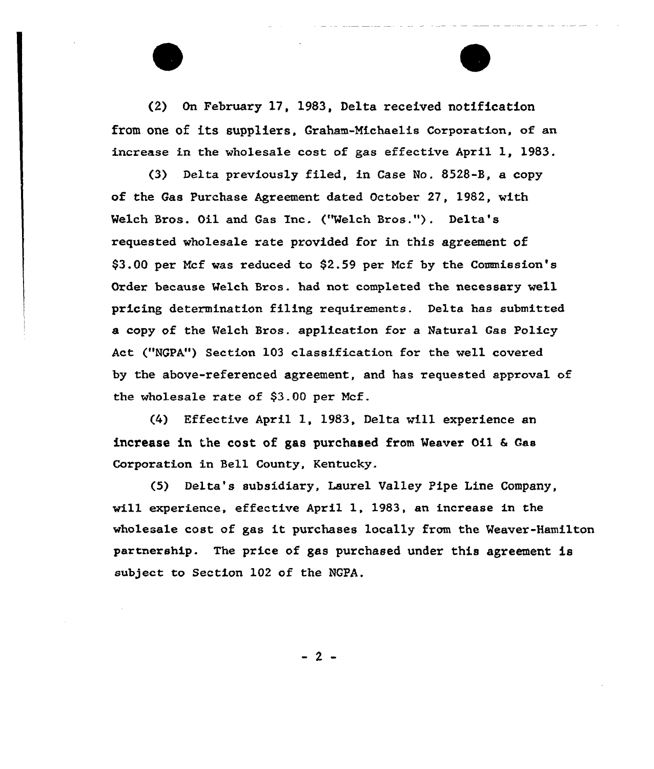(2) On February 17, 19S3, Delta received notification from one of its suppliers. Graham-Michaelis Corporation, of an increase in the wholesale cost of gas effective April 1, 1983.

(3) Delta previously filed, in Case No. 8528-B, a copy of the Gas Purchase Agreement dated October 27, 1982, with Welch Bros. Oil and Gas Inc. ("Welch Bros."). Delta's requested wholesale rate provided for in this agreement of \$3.00 per Mcf was reduced to \$2.59 per Mcf by the Commission's Order because Welch Bros. had not completed the necessary well pricing determination filing requixements. Delta has submitted a copy of the Welch Bxos. application for a Natural Gas Policy Act ("NGPA") Section 103 classification for the well covered by the above-referenced agreement, and has requested approval of the wholesale rate of \$3.00 pex Mcf.

(4) Effective Apxil 1, 19S3, Delta will experience an increase in the cost of gas purchased from Weaver Oil & Gas Corporation in Bell County, Kentucky.

(5) Delta's subsidiary, Lauxel Valley Pipe Line Company, will experience, effective April 1, 1983, an increase in the wholesale cost of gas it purchases locally from the Weaver-Hamilton partnership. The price of gas purchased under this agreement is subject to Section 102 of the NGPA.

 $-2-$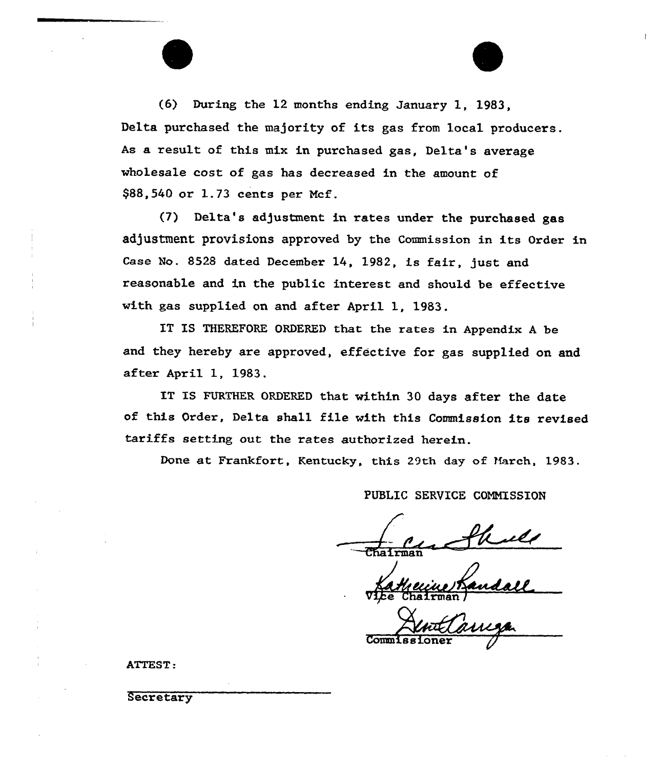(6) During the 12 months ending January 1, 1983, Delta purchased the majority of its gas from local producers. As a result of this mix in purchased gas, Delta's average wholesale cost of gas has decreased in the amount of \$88,540 or 1.73 cents per Mcf.

(7) Delta's adjustment in rates under the purchased gas adjustment provisions approved by the Commission in its Order in Case No. 8528 dated December 14, 1982, is fair, just and reasonable and in the public interest and should be effective with gas supplied on and after April 1, 1983.

IT IS THEREFORE ORDERED that the rates in Appendix <sup>A</sup> be and they hereby are approved, effective for gas supplied on and after April 1, 1983.

IT IS FURTHER ORDERED that within 30 days after the date of this Order, Delta shall file with this Commission its revised tariffs setting out the rates authorized herein.

Done at Frankfort, Kentucky, this 29th day of Harch, 1983.

PUBLIC SERUICE COMMISSION

Commis sioner

ATTEST:

Secretary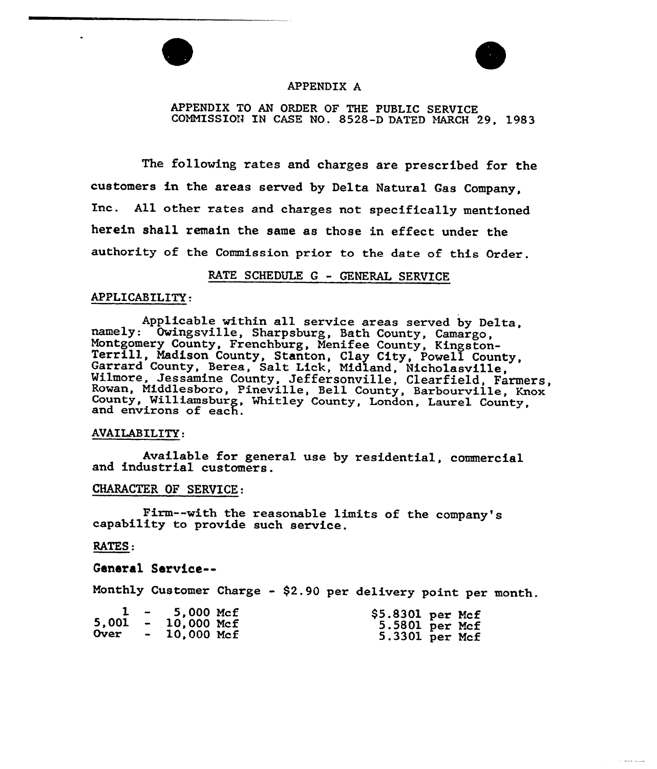



سيستعد سيست

### APPENDIX A

APPENDIX TO AN ORDER OF THE PUBLIC SERVICE COMMISSION IN CASE NO. 8528-D DATED MARCH 29, 1983

The following rates and charges are prescribed for the customers in the areas served by Delta Natural Gas Company, Inc. All other rates and charges not specifically mentioned herein shall remain the same as those in effect under the authority of the Commission prior to the date of this Order.

# RATE SCHEDULE <sup>G</sup> - GENERAL SERVICE

#### APPLICABILITY:

Applicable within all service areas served by Delta, namely: Owingsville, Sharpsburg, Bath County, Camargo, Montgomery County, Frenchburg, Menifee County, Kingston-<br>Terrill, Madison County, Stanton, Clay City, Powell County,<br>Garrard County, Berea, Salt Lick, Midland, Nicholasville,<br>Wilmore, Jessamine County, Jeffersonville, Clea

#### AVAILABILITY:

Available for general use by residential, commercial and industrial customers.

### CHARACTER OF SERVICE:

Firm--with the reasonable limits of the company's capability to provide such service.

### RATES:

General Sarvice--

Monthly Customer Charge - \$2.90 per delivery point per month.

|  | $1 - 5,000$ Mcf<br>$5,001 - 10,000$ Mcf<br>Over - 10,000 Mcf | $$5.8301$ per Mcf<br>5.5801 per Mcf |  |
|--|--------------------------------------------------------------|-------------------------------------|--|
|  |                                                              | 5.3301 per Mcf                      |  |